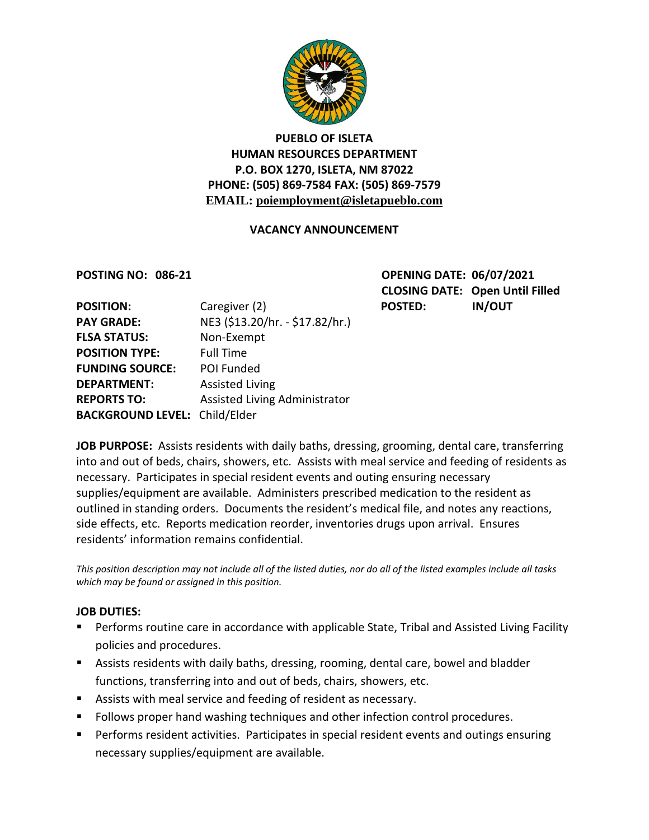

# **PUEBLO OF ISLETA HUMAN RESOURCES DEPARTMENT P.O. BOX 1270, ISLETA, NM 87022 PHONE: (505) 869-7584 FAX: (505) 869-7579 EMAIL: poiemployment@isletapueblo.com**

### **VACANCY ANNOUNCEMENT**

**POSTING NO: 086-21 OPENING DATE: 06/07/2021 CLOSING DATE: Open Until Filled**

| <b>POSITION:</b>                     | Caregiver (2)                   | <b>POSTED:</b> | <b>IN/OUT</b> |
|--------------------------------------|---------------------------------|----------------|---------------|
| <b>PAY GRADE:</b>                    | NE3 (\$13.20/hr. - \$17.82/hr.) |                |               |
| <b>FLSA STATUS:</b>                  | Non-Exempt                      |                |               |
| <b>POSITION TYPE:</b>                | <b>Full Time</b>                |                |               |
| <b>FUNDING SOURCE:</b>               | POI Funded                      |                |               |
| <b>DEPARTMENT:</b>                   | <b>Assisted Living</b>          |                |               |
| <b>REPORTS TO:</b>                   | Assisted Living Administrator   |                |               |
| <b>BACKGROUND LEVEL: Child/Elder</b> |                                 |                |               |

**JOB PURPOSE:** Assists residents with daily baths, dressing, grooming, dental care, transferring into and out of beds, chairs, showers, etc. Assists with meal service and feeding of residents as necessary. Participates in special resident events and outing ensuring necessary supplies/equipment are available. Administers prescribed medication to the resident as outlined in standing orders. Documents the resident's medical file, and notes any reactions, side effects, etc. Reports medication reorder, inventories drugs upon arrival. Ensures residents' information remains confidential.

*This position description may not include all of the listed duties, nor do all of the listed examples include all tasks which may be found or assigned in this position.*

#### **JOB DUTIES:**

- **Performs routine care in accordance with applicable State, Tribal and Assisted Living Facility** policies and procedures.
- Assists residents with daily baths, dressing, rooming, dental care, bowel and bladder functions, transferring into and out of beds, chairs, showers, etc.
- Assists with meal service and feeding of resident as necessary.
- **Follows proper hand washing techniques and other infection control procedures.**
- **Performs resident activities. Participates in special resident events and outings ensuring** necessary supplies/equipment are available.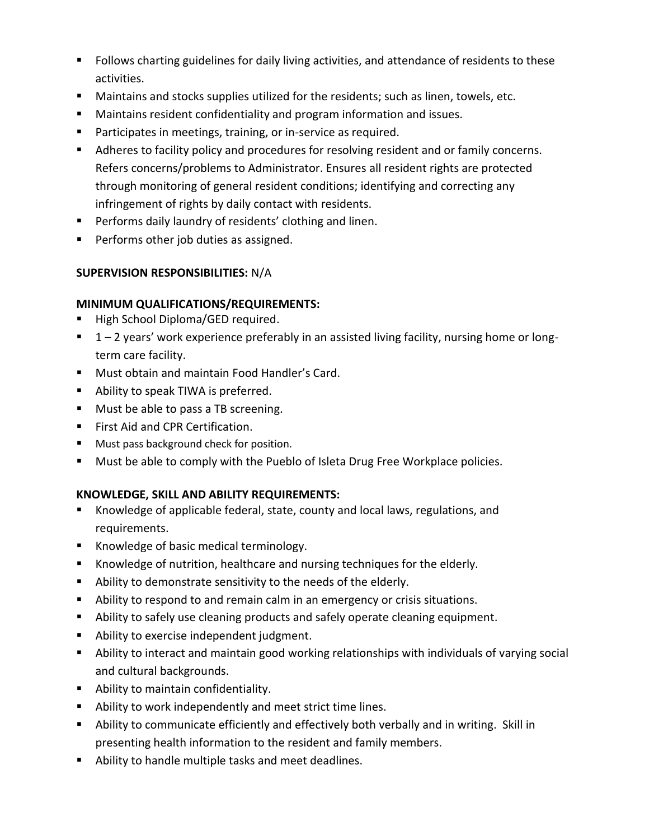- **F** Follows charting guidelines for daily living activities, and attendance of residents to these activities.
- **Maintains and stocks supplies utilized for the residents; such as linen, towels, etc.**
- Maintains resident confidentiality and program information and issues.
- **Participates in meetings, training, or in-service as required.**
- Adheres to facility policy and procedures for resolving resident and or family concerns. Refers concerns/problems to Administrator. Ensures all resident rights are protected through monitoring of general resident conditions; identifying and correcting any infringement of rights by daily contact with residents.
- **Performs daily laundry of residents' clothing and linen.**
- **Performs other job duties as assigned.**

## **SUPERVISION RESPONSIBILITIES:** N/A

### **MINIMUM QUALIFICATIONS/REQUIREMENTS:**

- **High School Diploma/GED required.**
- $\blacksquare$  1 2 years' work experience preferably in an assisted living facility, nursing home or longterm care facility.
- **Must obtain and maintain Food Handler's Card.**
- Ability to speak TIWA is preferred.
- **Must be able to pass a TB screening.**
- First Aid and CPR Certification.
- **Must pass background check for position.**
- Must be able to comply with the Pueblo of Isleta Drug Free Workplace policies.

## **KNOWLEDGE, SKILL AND ABILITY REQUIREMENTS:**

- Knowledge of applicable federal, state, county and local laws, regulations, and requirements.
- Knowledge of basic medical terminology.
- Knowledge of nutrition, healthcare and nursing techniques for the elderly.
- Ability to demonstrate sensitivity to the needs of the elderly.
- Ability to respond to and remain calm in an emergency or crisis situations.
- Ability to safely use cleaning products and safely operate cleaning equipment.
- **Ability to exercise independent judgment.**
- Ability to interact and maintain good working relationships with individuals of varying social and cultural backgrounds.
- **Ability to maintain confidentiality.**
- Ability to work independently and meet strict time lines.
- Ability to communicate efficiently and effectively both verbally and in writing. Skill in presenting health information to the resident and family members.
- Ability to handle multiple tasks and meet deadlines.